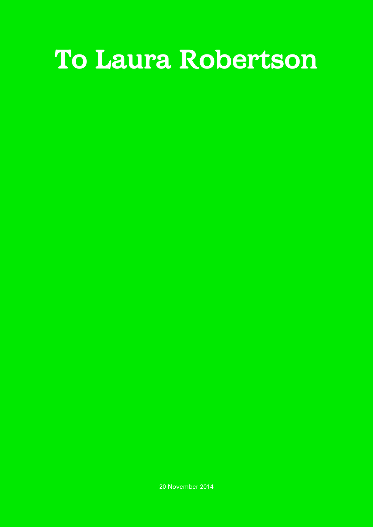## **To Laura Robertson**